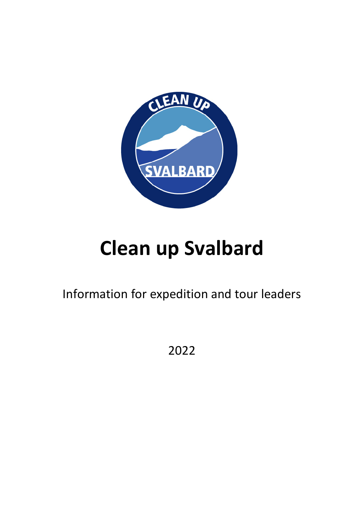

# **Clean up Svalbard Clean up Svalbard**

Information for expedition and tour leaders Information for expedition and tour leaders

2022 2022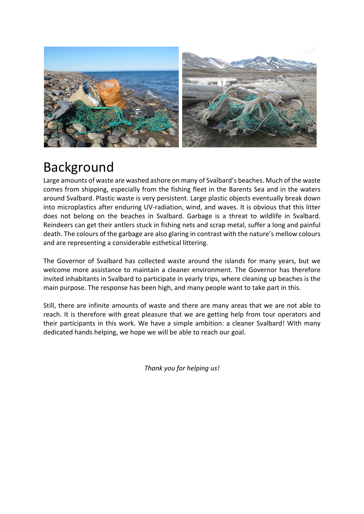

## Background **Background**

Large amounts of waste are washed ashore on many of Svalbard's beaches. Much of the waste Large amounts of waste are washed ashore on many of Svalbard's beaches. Much of the waste comes from shipping, especially from the fishing fleet in the Barents Sea and in the waters comes from shipping, especially from the fishing fleet in the Barents Sea and in the waters around Svalbard. Plastic waste is very persistent. Large plastic objects eventually break down around Svalbard. Plastic waste is very persistent. Large plastic objects eventually break down into microplastics after enduring UV-radiation, wind, and waves. It is obvious that this litter into microplastics after enduring UV-radiation, wind, and waves. It is obvious that this litter does not belong on the beaches in Svalbard. Garbage is a threat to wildlife in Svalbard. does not belong on the beaches in Svalbard. Garbage is a threat to wildlife in Svalbard. Reindeers can get their antlers stuck in fishing nets and scrap metal, suffer a long and painful Reindeers can get their antlers stuck in fishing nets and scrap metal, suffer a long and painful death. The colours of the garbage are also glaring in contrast with the nature's mellow colours death. The colours of the garbage are also glaring in contrast with the nature's mellow colours and are representing a considerable esthetical littering. and are representing a considerable esthetical littering.

The Governor of Svalbard has collected waste around the islands for many years, but we The Governor of Svalbard has collected waste around the islands for many years, but we welcome more assistance to maintain a cleaner environment. The Governor has therefore welcome more assistance to maintain a cleaner environment. The Governor has therefore invited inhabitants in Svalbard to participate in yearly trips, where cleaning up beaches is the invited inhabitants in Svalbard to participate in yearly trips, where cleaning up beaches is the main purpose. The response has been high, and many people want to take part in this. main purpose. The response has been high, and many people want to take part in this.

Still, there are infinite amounts of waste and there are many areas that we are not able to Still, there are infinite amounts of waste and there are many areas that we are not able to reach. It is therefore with great pleasure that we are getting help from tour operators and reach. It is therefore with great pleasure that we are getting help from tour operators and their participants in this work. We have a simple ambition: a cleaner Svalbard! With many their participants in this work. We have a simple ambition: a cleaner Svalbard! With many dedicated hands helping, we hope we will be able to reach our goal. dedicated hands helping, we hope we will be able to reach our goal.

*Thank you for helping us! Thank you for helping us!*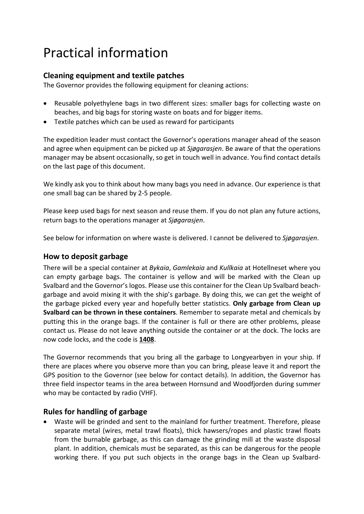# Practical information **Practical information**

#### **Cleaning equipment and textile patches Cleaning equipment and textile patches**

The Governor provides the following equipment for cleaning actions: The Governor provides the following equipment for cleaning actions:

- Reusable polyethylene bags in two different sizes: smaller bags for collecting waste on Reusable polyethylene bags in two different sizes: smaller bags for collecting waste on beaches, and big bags for storing waste on boats and for bigger items. beaches, and big bags for storing waste on boats and for bigger items.
- Textile patches which can be used as reward for participants Textile patches which can be used as reward for participants

The expedition leader must contact the Governor's operations manager ahead of the season The expedition leader must contact the Governor's operations manager ahead of the season and agree when equipment can be picked up at *Sjøgarasjen*. Be aware of that the operations and agree when equipment can be picked up at Sjøgarasjen. Be aware of that the operations manager may be absent occasionally, so get in touch well in advance. You find contact details manager may be absent occasionally, so get in touch well in advance. You find contact details on the last page of this document. on the last page of this document.

We kindly ask you to think about how many bags you need in advance. Our experience is that We kindly ask you to think about how many bags you need in advance. Our experience is that one small bag can be shared by 2-5 people. one small bag can be shared by 2-5 people.

Please keep used bags for next season and reuse them. If you do not plan any future actions, Please keep used bags for next season and reuse them. If you do not plan any future actions, return bags to the operations manager at *Sjøgarasjen*. return bags to the operations manager at Sjøgarasjen.

See below for information on where waste is delivered. I cannot be delivered to *Sjøgarasjen*. See below for information on where waste is delivered. I cannot be delivered to Sjøgarasjen.

#### **How to deposit garbage How to deposit garbage**

There will be a special container at *Bykaia*, *Gamlekaia* and *Kullkaia* at Hotellneset where you There will be a special container at Bykaia, Gamlekaia and Kul/kaia at Hotell neset where you can empty garbage bags. The container is yellow and will be marked with the Clean up can empty garbage bags. The container is yellow and will be marked with the Clean up Svalbard and the Governor's logos. Please use this container for the Clean Up Svalbard beach-Svalbard and the Governor's logos. Please use this container for the Clean Up Svalbard beachgarbage and avoid mixing it with the ship's garbage. By doing this, we can get the weight of garbage and avoid mixing it with the ship's garbage. By doing this, we can get the weight of the garbage picked every year and hopefully better statistics. **Only garbage from Clean up**  the garbage picked every year and hopefully better statistics. **Only garbage from Clean up Svalbard can be thrown in these containers**. Remember to separate metal and chemicals by **Svalbard can be thrown in these containers.** Remember to separate metal and chemicals by putting this in the orange bags. If the container is full or there are other problems, please putting this in the orange bags. If the container is full or there are other problems, please contact us. Please do not leave anything outside the container or at the dock. The locks are contact us. Please do not leave anything outside the container or at the dock. The locks are now code locks, and the code is **1408**. now code locks, and the code is **1408.** 

The Governor recommends that you bring all the garbage to Longyearbyen in your ship. If The Governor recommends that you bring all the garbage to Longyearbyen in your ship. If there are places where you observe more than you can bring, please leave it and report the there are places where you observe more than you can bring, please leave it and report the GPS position to the Governor (see below for contact details). In addition, the Governor has GPS position to the Governor {see below for contact details). In addition, the Governor has three field inspector teams in the area between Hornsund and Woodfjorden during summer three field inspector teams in the area between Hornsund and Woodfjorden during summer who may be contacted by radio (VHF). who may be contacted by radio {VHF).

#### **Rules for handling of garbage Rules for handling of garbage**

• Waste will be grinded and sent to the mainland for further treatment. Therefore, please • Waste will be grinded and sent to the mainland for further treatment. Therefore, please separate metal (wires, metal trawl floats), thick hawsers/ropes and plastic trawl floats separate metal {wires, metal trawl floats), thick hawsers/ropes and plastic trawl floats from the burnable garbage, as this can damage the grinding mill at the waste disposal from the burnable garbage, as this can damage the grinding mill at the waste disposal plant. In addition, chemicals must be separated, as this can be dangerous for the people plant. In addition, chemicals must be separated, as this can be dangerous for the people working there. If you put such objects in the orange bags in the Clean up Svalbard-working there. If you put such objects in the orange bags in the Clean up Svalbard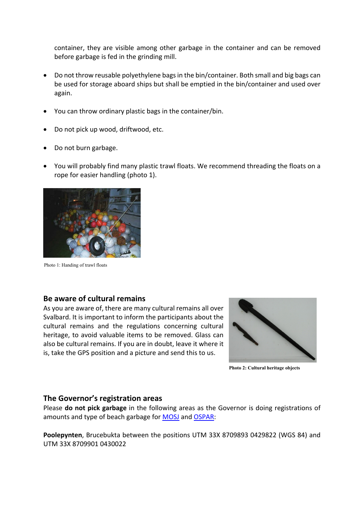container, they are visible among other garbage in the container and can be removed before garbage is fed in the grinding mill. before garbage is fed in the grinding mill.

- Do not throw reusable polyethylene bags in the bin/container. Both small and big bags can Do not throw reusable polyethylene bags in the bin/container. Both small and big bags can be used for storage aboard ships but shall be emptied in the bin/container and used over be used for storage aboard ships but shall be emptied in the bin/container and used over again. again.
- You can throw ordinary plastic bags in the container/bin. You can throw ordinary plastic bags in the container/bin. Do not pick up wood, driftwood, etc.
- Do not pick up wood, driftwood, etc.
- Do not burn garbage. Do not burn garbage.
- You will probably find many plastic trawl floats. We recommend threading the floats on a You will probably find many plastic trawl floats. We recommend threading the floats on a rope for easier handling (photo 1). rope for easier handling (photo 1).



Photo 1: Handing of trawl floats Photo l: Handing of trawl floats

#### **Be aware of cultural remains Be aware of cultural remains**

As you are aware of, there are many cultural remains all over As you are aware of, there are many cultural remains all over Svalbard. It is important to inform the participants about the Svalbard. It is important to inform the participants about the cultural remains and the regulations concerning cultural heritage, to avoid valuable items to be removed. Glass can heritage, to avoid valuable items to be removed. Glass can also be cultural remains. If you are in doubt, leave it where it also be cultural remains. If you are in doubt, leave it where it is, take the GPS position and a picture and send this to us. is, take the GPS position and a picture and send this to us.



**Photo 2: Cultural heritage objects** Photo 2: Cultural heritage objects

#### **The Governor's registration areas The Governor's registration areas**

Please **do not pick garbage** in the following areas as the Governor is doing registrations of Please **do not pick garbage** in the following areas as the Governor is doing registrations of amounts and type of beach garbage for **[MOSJ](https://www.mosj.no/en/influence/pollution/beach-litter-svalbard.html)** and **OSPAR**:

**Poolepynten**, Brucebukta between the positions UTM 33X 8709893 0429822 (WGS 84) and **Poolepynten,** Brucebukta between the positions UTM 33X 8709893 0429822 (WGS 84) and UTM 33X 8709901 0430022 UTM 33X 8709901 0430022